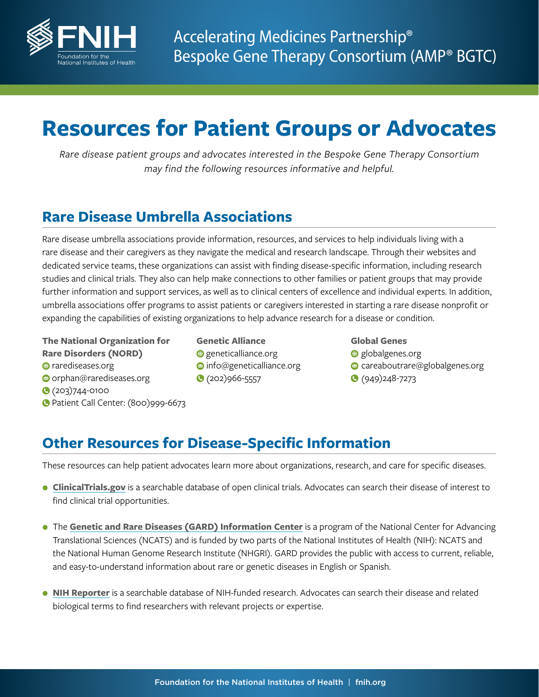

# **Resources for Patient Groups or Advocates**

*Rare disease patient groups and advocates interested in the Bespoke Gene Therapy Consortium may find the following resources informative and helpful.* 

## **Rare Disease Umbrella Associations**

Rare disease umbrella associations provide information, resources, and services to help individuals living with a rare disease and their caregivers as they navigate the medical and research landscape. Through their websites and dedicated service teams, these organizations can assist with finding disease-specific information, including research studies and clinical trials. They also can help make connections to other families or patient groups that may provide further information and support services, as well as to clinical centers of excellence and individual experts. In addition, umbrella associations offer programs to assist patients or caregivers interested in starting a rare disease nonprofit or expanding the capabilities of existing organizations to help advance research for a disease or condition.

**The National Organization for Rare Disorders (NORD) O** rarediseases.org

- **o** orphan@rarediseases.org
- **(203)744-0100**
- Patient Call Center: (800)999-6673

**Genetic Alliance**  $Q$  geneticalliance.org **Info@geneticalliance.org** C (202)966-5557

**Global Genes**  $\bigoplus$  [globalgenes.org](http://www.globalgenes.org) careaboutrare@globalgenes.org **(949)248-7273** 

## **Other Resources for Disease-Specific Information**

These resources can help patient advocates learn more about organizations, research, and care for specific diseases.

- **[ClinicalTrials.gov](https://clinicaltrials.gov/)** is a searchable database of open clinical trials. Advocates can search their disease of interest to find clinical trial opportunities.
- The **[Genetic and Rare Diseases \(GARD\) Information Center](https://rarediseases.info.nih.gov/)** is a program of the National Center for Advancing Translational Sciences (NCATS) and is funded by two parts of the National Institutes of Health (NIH): NCATS and the National Human Genome Research Institute (NHGRI). GARD provides the public with access to current, reliable, and easy-to-understand information about rare or genetic diseases in English or Spanish.
- **[NIH Reporter](https://reporter.nih.gov/)** is a searchable database of NIH-funded research. Advocates can search their disease and related biological terms to find researchers with relevant projects or expertise.